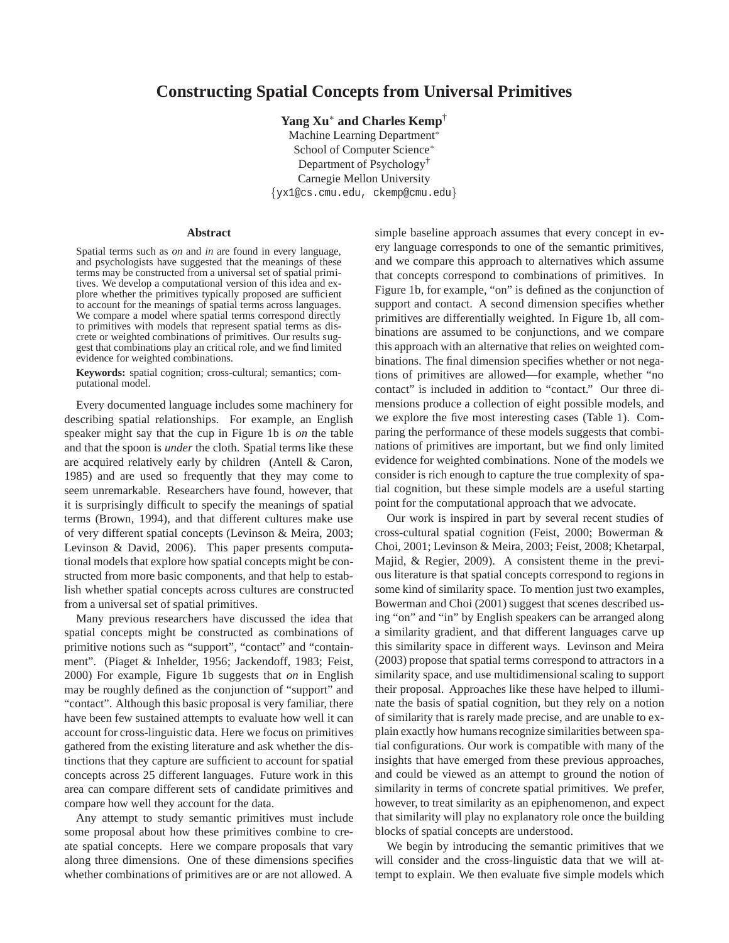# **Constructing Spatial Concepts from Universal Primitives**

**Yang Xu**<sup>∗</sup> **and Charles Kemp**†

Machine Learning Department<sup>∗</sup> School of Computer Science<sup>∗</sup> Department of Psychology† Carnegie Mellon University {yx1@cs.cmu.edu, ckemp@cmu.edu}

#### **Abstract**

Spatial terms such as *on* and *in* are found in every language, and psychologists have suggested that the meanings of these terms may be constructed from a universal set of spatial primitives. We develop a computational version of this idea and explore whether the primitives typically proposed are sufficient to account for the meanings of spatial terms across languages. We compare a model where spatial terms correspond directly to primitives with models that represent spatial terms as discrete or weighted combinations of primitives. Our results suggest that combinations play an critical role, and we find limited evidence for weighted combinations.

**Keywords:** spatial cognition; cross-cultural; semantics; computational model.

Every documented language includes some machinery for describing spatial relationships. For example, an English speaker might say that the cup in Figure 1b is *on* the table and that the spoon is *under* the cloth. Spatial terms like these are acquired relatively early by children (Antell & Caron, 1985) and are used so frequently that they may come to seem unremarkable. Researchers have found, however, that it is surprisingly difficult to specify the meanings of spatial terms (Brown, 1994), and that different cultures make use of very different spatial concepts (Levinson & Meira, 2003; Levinson & David, 2006). This paper presents computational models that explore how spatial concepts might be constructed from more basic components, and that help to establish whether spatial concepts across cultures are constructed from a universal set of spatial primitives.

Many previous researchers have discussed the idea that spatial concepts might be constructed as combinations of primitive notions such as "support", "contact" and "containment". (Piaget & Inhelder, 1956; Jackendoff, 1983; Feist, 2000) For example, Figure 1b suggests that *on* in English may be roughly defined as the conjunction of "support" and "contact". Although this basic proposal is very familiar, there have been few sustained attempts to evaluate how well it can account for cross-linguistic data. Here we focus on primitives gathered from the existing literature and ask whether the distinctions that they capture are sufficient to account for spatial concepts across 25 different languages. Future work in this area can compare different sets of candidate primitives and compare how well they account for the data.

Any attempt to study semantic primitives must include some proposal about how these primitives combine to create spatial concepts. Here we compare proposals that vary along three dimensions. One of these dimensions specifies whether combinations of primitives are or are not allowed. A simple baseline approach assumes that every concept in every language corresponds to one of the semantic primitives, and we compare this approach to alternatives which assume that concepts correspond to combinations of primitives. In Figure 1b, for example, "on" is defined as the conjunction of support and contact. A second dimension specifies whether primitives are differentially weighted. In Figure 1b, all combinations are assumed to be conjunctions, and we compare this approach with an alternative that relies on weighted combinations. The final dimension specifies whether or not negations of primitives are allowed—for example, whether "no contact" is included in addition to "contact." Our three dimensions produce a collection of eight possible models, and we explore the five most interesting cases (Table 1). Comparing the performance of these models suggests that combinations of primitives are important, but we find only limited evidence for weighted combinations. None of the models we consider is rich enough to capture the true complexity of spatial cognition, but these simple models are a useful starting point for the computational approach that we advocate.

Our work is inspired in part by several recent studies of cross-cultural spatial cognition (Feist, 2000; Bowerman & Choi, 2001; Levinson & Meira, 2003; Feist, 2008; Khetarpal, Majid, & Regier, 2009). A consistent theme in the previous literature is that spatial concepts correspond to regions in some kind of similarity space. To mention just two examples, Bowerman and Choi (2001) suggest that scenes described using "on" and "in" by English speakers can be arranged along a similarity gradient, and that different languages carve up this similarity space in different ways. Levinson and Meira (2003) propose that spatial terms correspond to attractors in a similarity space, and use multidimensional scaling to support their proposal. Approaches like these have helped to illuminate the basis of spatial cognition, but they rely on a notion of similarity that is rarely made precise, and are unable to explain exactly how humans recognize similarities between spatial configurations. Our work is compatible with many of the insights that have emerged from these previous approaches, and could be viewed as an attempt to ground the notion of similarity in terms of concrete spatial primitives. We prefer, however, to treat similarity as an epiphenomenon, and expect that similarity will play no explanatory role once the building blocks of spatial concepts are understood.

We begin by introducing the semantic primitives that we will consider and the cross-linguistic data that we will attempt to explain. We then evaluate five simple models which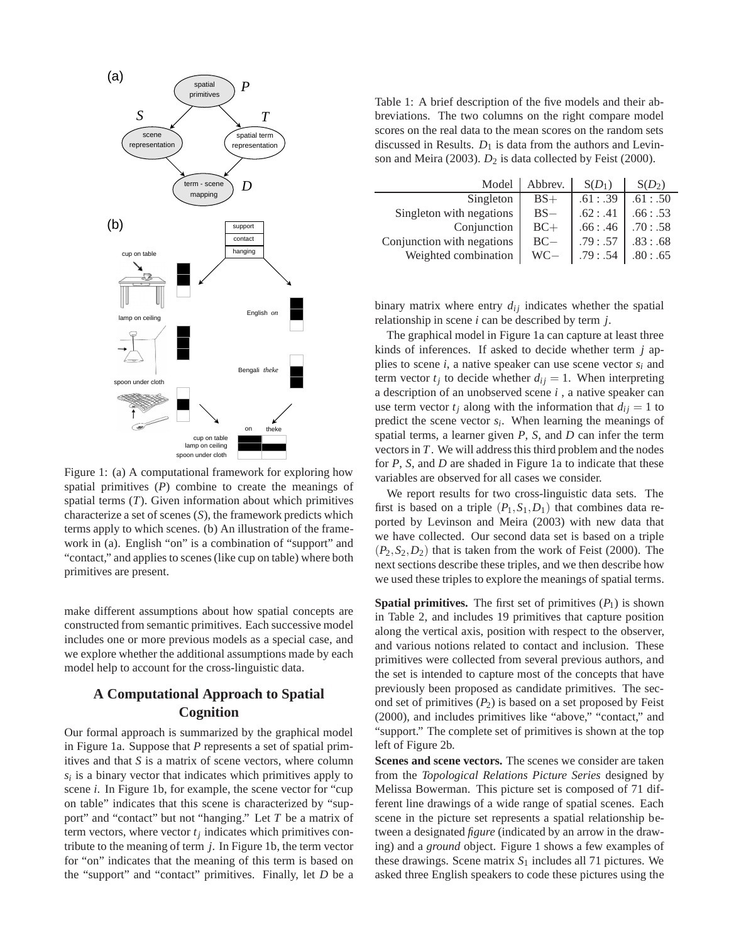

Figure 1: (a) A computational framework for exploring how spatial primitives (*P*) combine to create the meanings of spatial terms (*T*). Given information about which primitives characterize a set of scenes (*S*), the framework predicts which terms apply to which scenes. (b) An illustration of the framework in (a). English "on" is a combination of "support" and "contact," and applies to scenes (like cup on table) where both primitives are present.

make different assumptions about how spatial concepts are constructed from semantic primitives. Each successive model includes one or more previous models as a special case, and we explore whether the additional assumptions made by each model help to account for the cross-linguistic data.

# **A Computational Approach to Spatial Cognition**

Our formal approach is summarized by the graphical model in Figure 1a. Suppose that *P* represents a set of spatial primitives and that *S* is a matrix of scene vectors, where column  $s_i$  is a binary vector that indicates which primitives apply to scene *i*. In Figure 1b, for example, the scene vector for "cup on table" indicates that this scene is characterized by "support" and "contact" but not "hanging." Let *T* be a matrix of term vectors, where vector  $t_j$  indicates which primitives contribute to the meaning of term *j*. In Figure 1b, the term vector for "on" indicates that the meaning of this term is based on the "support" and "contact" primitives. Finally, let *D* be a

Table 1: A brief description of the five models and their abbreviations. The two columns on the right compare model scores on the real data to the mean scores on the random sets discussed in Results.  $D_1$  is data from the authors and Levinson and Meira (2003).  $D_2$  is data collected by Feist (2000).

| Model                      | Abbrev. | $S(D_1)$ | $S(D_2)$ |
|----------------------------|---------|----------|----------|
| Singleton                  | $BS+$   | .61: .39 | .61: .50 |
| Singleton with negations   | $BS-$   | .62: .41 | .66: .53 |
| Conjunction                | $BC+$   | .66: .46 | .70: .58 |
| Conjunction with negations | $BC-$   | .79: .57 | .83: .68 |
| Weighted combination       | $WC -$  | .79: .54 | .80: .65 |

binary matrix where entry  $d_{ij}$  indicates whether the spatial relationship in scene *i* can be described by term *j*.

The graphical model in Figure 1a can capture at least three kinds of inferences. If asked to decide whether term *j* applies to scene *i*, a native speaker can use scene vector  $s_i$  and term vector  $t_j$  to decide whether  $d_{ij} = 1$ . When interpreting a description of an unobserved scene *i* , a native speaker can use term vector  $t_i$  along with the information that  $d_{ij} = 1$  to predict the scene vector  $s_i$ . When learning the meanings of spatial terms, a learner given *P*, *S*, and *D* can infer the term vectors in *T*. We will address this third problem and the nodes for *P*, *S*, and *D* are shaded in Figure 1a to indicate that these variables are observed for all cases we consider.

We report results for two cross-linguistic data sets. The first is based on a triple  $(P_1, S_1, D_1)$  that combines data reported by Levinson and Meira (2003) with new data that we have collected. Our second data set is based on a triple  $(P_2, S_2, D_2)$  that is taken from the work of Feist (2000). The next sections describe these triples, and we then describe how we used these triples to explore the meanings of spatial terms.

**Spatial primitives.** The first set of primitives  $(P_1)$  is shown in Table 2, and includes 19 primitives that capture position along the vertical axis, position with respect to the observer, and various notions related to contact and inclusion. These primitives were collected from several previous authors, and the set is intended to capture most of the concepts that have previously been proposed as candidate primitives. The second set of primitives  $(P_2)$  is based on a set proposed by Feist (2000), and includes primitives like "above," "contact," and "support." The complete set of primitives is shown at the top left of Figure 2b.

**Scenes and scene vectors.** The scenes we consider are taken from the *Topological Relations Picture Series* designed by Melissa Bowerman. This picture set is composed of 71 different line drawings of a wide range of spatial scenes. Each scene in the picture set represents a spatial relationship between a designated *figure* (indicated by an arrow in the drawing) and a *ground* object. Figure 1 shows a few examples of these drawings. Scene matrix *S*<sup>1</sup> includes all 71 pictures. We asked three English speakers to code these pictures using the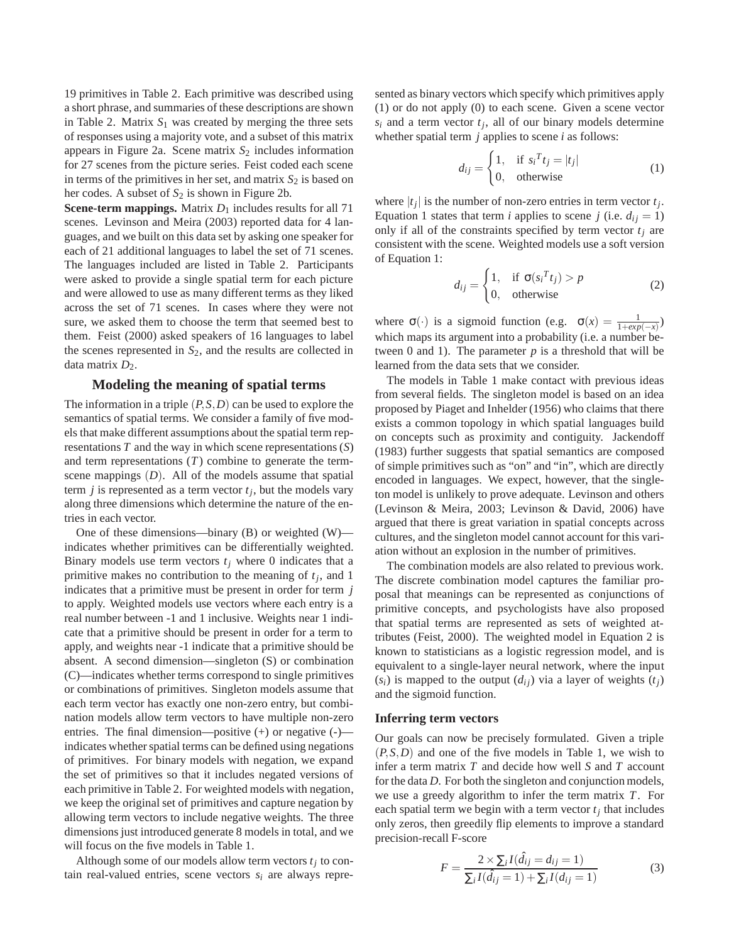19 primitives in Table 2. Each primitive was described using a short phrase, and summaries of these descriptions are shown in Table 2. Matrix  $S_1$  was created by merging the three sets of responses using a majority vote, and a subset of this matrix appears in Figure 2a. Scene matrix *S*<sup>2</sup> includes information for 27 scenes from the picture series. Feist coded each scene in terms of the primitives in her set, and matrix  $S_2$  is based on her codes. A subset of *S*<sup>2</sup> is shown in Figure 2b.

**Scene-term mappings.** Matrix  $D_1$  includes results for all 71 scenes. Levinson and Meira (2003) reported data for 4 languages, and we built on this data set by asking one speaker for each of 21 additional languages to label the set of 71 scenes. The languages included are listed in Table 2. Participants were asked to provide a single spatial term for each picture and were allowed to use as many different terms as they liked across the set of 71 scenes. In cases where they were not sure, we asked them to choose the term that seemed best to them. Feist (2000) asked speakers of 16 languages to label the scenes represented in  $S_2$ , and the results are collected in data matrix  $D_2$ .

### **Modeling the meaning of spatial terms**

The information in a triple (*P*,*S*,*D*) can be used to explore the semantics of spatial terms. We consider a family of five models that make different assumptions about the spatial term representations *T* and the way in which scene representations (*S*) and term representations (*T*) combine to generate the termscene mappings (*D*). All of the models assume that spatial term  $j$  is represented as a term vector  $t_j$ , but the models vary along three dimensions which determine the nature of the entries in each vector.

One of these dimensions—binary (B) or weighted (W) indicates whether primitives can be differentially weighted. Binary models use term vectors  $t_j$  where 0 indicates that a primitive makes no contribution to the meaning of *t<sup>j</sup>* , and 1 indicates that a primitive must be present in order for term *j* to apply. Weighted models use vectors where each entry is a real number between -1 and 1 inclusive. Weights near 1 indicate that a primitive should be present in order for a term to apply, and weights near -1 indicate that a primitive should be absent. A second dimension—singleton (S) or combination (C)—indicates whether terms correspond to single primitives or combinations of primitives. Singleton models assume that each term vector has exactly one non-zero entry, but combination models allow term vectors to have multiple non-zero entries. The final dimension—positive (+) or negative (-) indicates whether spatial terms can be defined using negations of primitives. For binary models with negation, we expand the set of primitives so that it includes negated versions of each primitive in Table 2. For weighted models with negation, we keep the original set of primitives and capture negation by allowing term vectors to include negative weights. The three dimensions just introduced generate 8 models in total, and we will focus on the five models in Table 1.

Although some of our models allow term vectors  $t_j$  to contain real-valued entries, scene vectors  $s_i$  are always represented as binary vectors which specify which primitives apply (1) or do not apply (0) to each scene. Given a scene vector  $s_i$  and a term vector  $t_j$ , all of our binary models determine whether spatial term *j* applies to scene *i* as follows:

$$
d_{ij} = \begin{cases} 1, & \text{if } s_i^T t_j = |t_j| \\ 0, & \text{otherwise} \end{cases}
$$
 (1)

where  $|t_j|$  is the number of non-zero entries in term vector  $t_j$ . Equation 1 states that term *i* applies to scene *j* (i.e.  $d_{ij} = 1$ ) only if all of the constraints specified by term vector  $t_j$  are consistent with the scene. Weighted models use a soft version of Equation 1:

$$
d_{ij} = \begin{cases} 1, & \text{if } \sigma(s_i^T t_j) > p \\ 0, & \text{otherwise} \end{cases}
$$
 (2)

where  $\sigma(\cdot)$  is a sigmoid function (e.g.  $\sigma(x) = \frac{1}{1 + exp(-x)}$ ) which maps its argument into a probability (i.e. a number between 0 and 1). The parameter  $p$  is a threshold that will be learned from the data sets that we consider.

The models in Table 1 make contact with previous ideas from several fields. The singleton model is based on an idea proposed by Piaget and Inhelder (1956) who claims that there exists a common topology in which spatial languages build on concepts such as proximity and contiguity. Jackendoff (1983) further suggests that spatial semantics are composed of simple primitives such as "on" and "in", which are directly encoded in languages. We expect, however, that the singleton model is unlikely to prove adequate. Levinson and others (Levinson & Meira, 2003; Levinson & David, 2006) have argued that there is great variation in spatial concepts across cultures, and the singleton model cannot account for this variation without an explosion in the number of primitives.

The combination models are also related to previous work. The discrete combination model captures the familiar proposal that meanings can be represented as conjunctions of primitive concepts, and psychologists have also proposed that spatial terms are represented as sets of weighted attributes (Feist, 2000). The weighted model in Equation 2 is known to statisticians as a logistic regression model, and is equivalent to a single-layer neural network, where the input  $(s_i)$  is mapped to the output  $(d_{ij})$  via a layer of weights  $(t_i)$ and the sigmoid function.

#### **Inferring term vectors**

Our goals can now be precisely formulated. Given a triple (*P*,*S*,*D*) and one of the five models in Table 1, we wish to infer a term matrix *T* and decide how well *S* and *T* account for the data *D*. For both the singleton and conjunction models, we use a greedy algorithm to infer the term matrix *T*. For each spatial term we begin with a term vector  $t_j$  that includes only zeros, then greedily flip elements to improve a standard precision-recall F-score

$$
F = \frac{2 \times \sum_{i} I(\hat{d}_{ij} = d_{ij} = 1)}{\sum_{i} I(\hat{d}_{ij} = 1) + \sum_{i} I(d_{ij} = 1)}
$$
(3)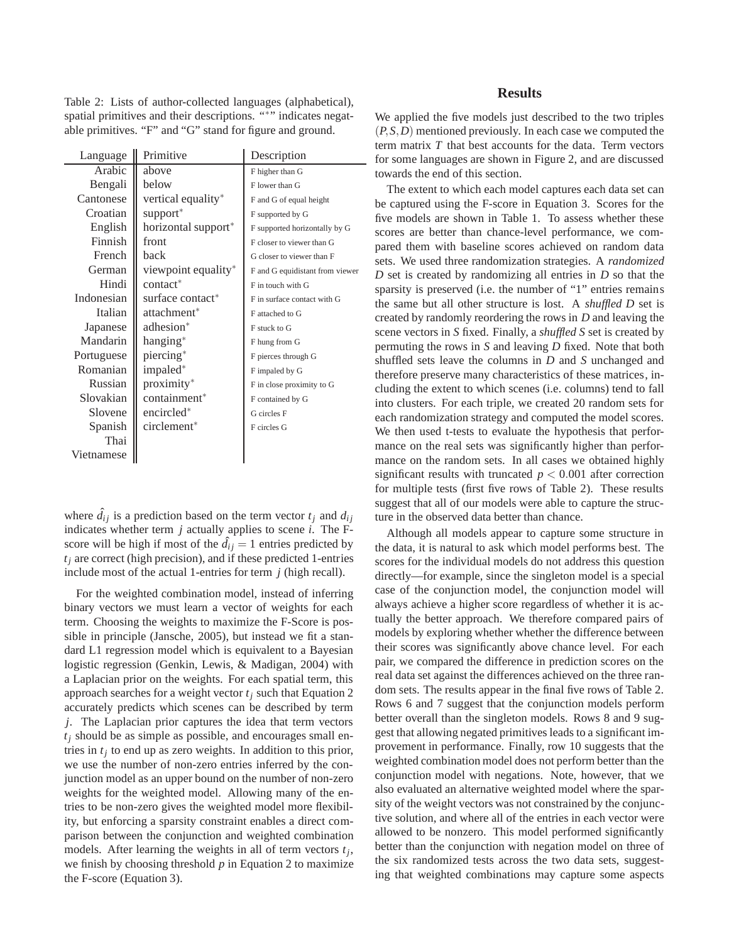Table 2: Lists of author-collected languages (alphabetical), spatial primitives and their descriptions. "\*" indicates negatable primitives. "F" and "G" stand for figure and ground.

| Language   | Primitive                       | Description                     |  |
|------------|---------------------------------|---------------------------------|--|
| Arabic     | above                           | F higher than G                 |  |
| Bengali    | below                           | F lower than G                  |  |
| Cantonese  | vertical equality*              | F and G of equal height         |  |
| Croatian   | support*                        | F supported by G                |  |
| English    | horizontal support <sup>*</sup> | F supported horizontally by G   |  |
| Finnish    | front                           | F closer to viewer than G       |  |
| French     | back                            | G closer to viewer than F       |  |
| German     | viewpoint equality*             | F and G equidistant from viewer |  |
| Hindi      | contact*                        | F in touch with G               |  |
| Indonesian | surface contact*                | F in surface contact with G     |  |
| Italian    | attachment*                     | F attached to G                 |  |
| Japanese   | adhesion <sup>*</sup>           | F stuck to G                    |  |
| Mandarin   | hanging*                        | F hung from G                   |  |
| Portuguese | piercing*                       | F pierces through G             |  |
| Romanian   | impaled*                        | F impaled by G                  |  |
| Russian    | proximity*                      | F in close proximity to G       |  |
| Slovakian  | containment*                    | F contained by G                |  |
| Slovene    | encircled <sup>*</sup>          | G circles F                     |  |
| Spanish    | circlement*                     | F circles G                     |  |
| Thai       |                                 |                                 |  |
| Vietnamese |                                 |                                 |  |

where  $\hat{d}_{ij}$  is a prediction based on the term vector  $t_j$  and  $d_{ij}$ indicates whether term *j* actually applies to scene *i*. The Fscore will be high if most of the  $\hat{d}_{ij} = 1$  entries predicted by  $t_i$  are correct (high precision), and if these predicted 1-entries include most of the actual 1-entries for term *j* (high recall).

For the weighted combination model, instead of inferring binary vectors we must learn a vector of weights for each term. Choosing the weights to maximize the F-Score is possible in principle (Jansche, 2005), but instead we fit a standard L1 regression model which is equivalent to a Bayesian logistic regression (Genkin, Lewis, & Madigan, 2004) with a Laplacian prior on the weights. For each spatial term, this approach searches for a weight vector *t<sup>j</sup>* such that Equation 2 accurately predicts which scenes can be described by term *j*. The Laplacian prior captures the idea that term vectors  $t_i$  should be as simple as possible, and encourages small entries in  $t_j$  to end up as zero weights. In addition to this prior, we use the number of non-zero entries inferred by the conjunction model as an upper bound on the number of non-zero weights for the weighted model. Allowing many of the entries to be non-zero gives the weighted model more flexibility, but enforcing a sparsity constraint enables a direct comparison between the conjunction and weighted combination models. After learning the weights in all of term vectors *t<sup>j</sup>* , we finish by choosing threshold *p* in Equation 2 to maximize the F-score (Equation 3).

## **Results**

We applied the five models just described to the two triples (*P*,*S*,*D*) mentioned previously. In each case we computed the term matrix *T* that best accounts for the data. Term vectors for some languages are shown in Figure 2, and are discussed towards the end of this section.

The extent to which each model captures each data set can be captured using the F-score in Equation 3. Scores for the five models are shown in Table 1. To assess whether these scores are better than chance-level performance, we compared them with baseline scores achieved on random data sets. We used three randomization strategies. A *randomized D* set is created by randomizing all entries in *D* so that the sparsity is preserved (i.e. the number of "1" entries remains the same but all other structure is lost. A *shuffled D* set is created by randomly reordering the rows in *D* and leaving the scene vectors in *S* fixed. Finally, a *shuffled S* set is created by permuting the rows in *S* and leaving *D* fixed. Note that both shuffled sets leave the columns in *D* and *S* unchanged and therefore preserve many characteristics of these matrices, including the extent to which scenes (i.e. columns) tend to fall into clusters. For each triple, we created 20 random sets for each randomization strategy and computed the model scores. We then used t-tests to evaluate the hypothesis that performance on the real sets was significantly higher than performance on the random sets. In all cases we obtained highly significant results with truncated *p* < 0.001 after correction for multiple tests (first five rows of Table 2). These results suggest that all of our models were able to capture the structure in the observed data better than chance.

Although all models appear to capture some structure in the data, it is natural to ask which model performs best. The scores for the individual models do not address this question directly—for example, since the singleton model is a special case of the conjunction model, the conjunction model will always achieve a higher score regardless of whether it is actually the better approach. We therefore compared pairs of models by exploring whether whether the difference between their scores was significantly above chance level. For each pair, we compared the difference in prediction scores on the real data set against the differences achieved on the three random sets. The results appear in the final five rows of Table 2. Rows 6 and 7 suggest that the conjunction models perform better overall than the singleton models. Rows 8 and 9 suggest that allowing negated primitives leads to a significant improvement in performance. Finally, row 10 suggests that the weighted combination model does not perform better than the conjunction model with negations. Note, however, that we also evaluated an alternative weighted model where the sparsity of the weight vectors was not constrained by the conjunctive solution, and where all of the entries in each vector were allowed to be nonzero. This model performed significantly better than the conjunction with negation model on three of the six randomized tests across the two data sets, suggesting that weighted combinations may capture some aspects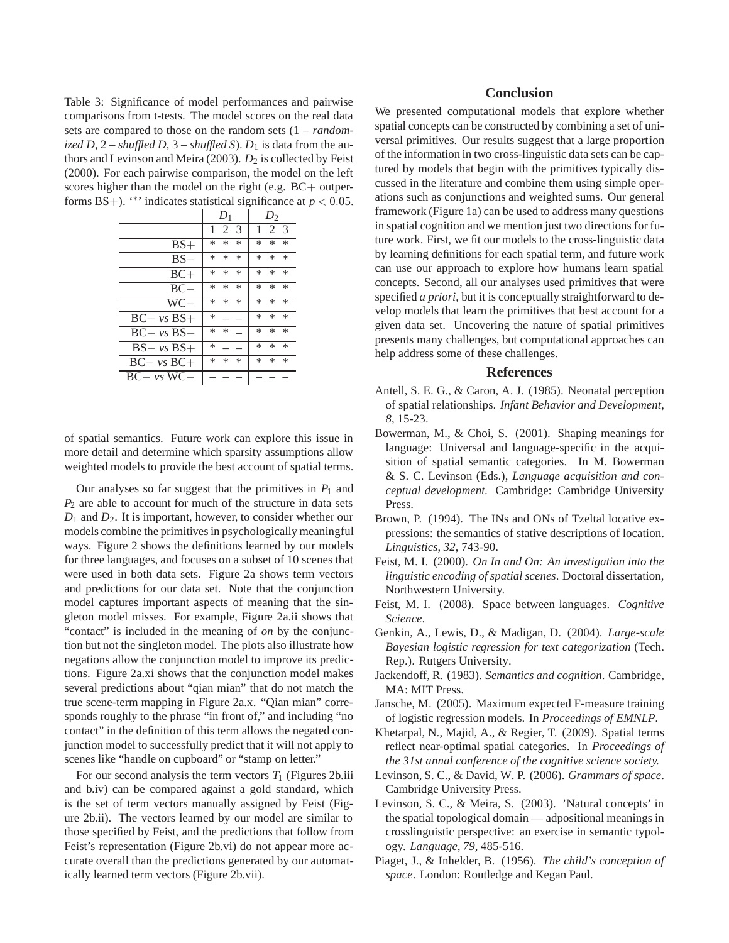Table 3: Significance of model performances and pairwise comparisons from t-tests. The model scores on the real data sets are compared to those on the random sets (1 – *randomized D*,  $2$  – *shuffled D*,  $3$  – *shuffled S*).  $D_1$  is data from the authors and Levinson and Meira (2003).  $D_2$  is collected by Feist (2000). For each pairwise comparison, the model on the left scores higher than the model on the right (e.g. BC+ outperforms BS+). "<sup>\*\*</sup> indicates statistical significance at  $p < 0.05$ .

|                  | $D_1$                   | $D_2$                 |  |
|------------------|-------------------------|-----------------------|--|
|                  | $\mathcal{R}$<br>2<br>1 | $\mathcal{E}$<br>2    |  |
| $BS+$            | *<br>*<br>$\ast$        | *<br>*<br>*           |  |
| BS.              | *<br>*<br>$\ast$        | *<br>*<br>*           |  |
| $BC+$            | *<br>$\ast$<br>*        | $\ast$<br>*<br>$\ast$ |  |
| $BC-$            | *<br>$\ast$<br>*        | *<br>*<br>$\ast$      |  |
| WC-              | *<br>$\ast$<br>*        | $\ast$<br>$\ast$<br>* |  |
| $BC + vs$ $BS +$ | *                       | *<br>*<br>$\ast$      |  |
| $BC - vs$ $BS -$ | *<br>*                  | $\ast$<br>$\ast$<br>* |  |
| $BS - vs$ $BS +$ | *                       | *<br>*<br>$\ast$      |  |
| $BC - vs BC +$   | *<br>*<br>$\ast$        | *<br>*<br>$\ast$      |  |
| $BC - vs W C -$  |                         |                       |  |

of spatial semantics. Future work can explore this issue in more detail and determine which sparsity assumptions allow weighted models to provide the best account of spatial terms.

Our analyses so far suggest that the primitives in  $P_1$  and *P*<sup>2</sup> are able to account for much of the structure in data sets *D*<sup>1</sup> and *D*2. It is important, however, to consider whether our models combine the primitives in psychologically meaningful ways. Figure 2 shows the definitions learned by our models for three languages, and focuses on a subset of 10 scenes that were used in both data sets. Figure 2a shows term vectors and predictions for our data set. Note that the conjunction model captures important aspects of meaning that the singleton model misses. For example, Figure 2a.ii shows that "contact" is included in the meaning of *on* by the conjunction but not the singleton model. The plots also illustrate how negations allow the conjunction model to improve its predictions. Figure 2a.xi shows that the conjunction model makes several predictions about "qian mian" that do not match the true scene-term mapping in Figure 2a.x. "Qian mian" corresponds roughly to the phrase "in front of," and including "no contact" in the definition of this term allows the negated conjunction model to successfully predict that it will not apply to scenes like "handle on cupboard" or "stamp on letter."

For our second analysis the term vectors  $T_1$  (Figures 2b.iii) and b.iv) can be compared against a gold standard, which is the set of term vectors manually assigned by Feist (Figure 2b.ii). The vectors learned by our model are similar to those specified by Feist, and the predictions that follow from Feist's representation (Figure 2b.vi) do not appear more accurate overall than the predictions generated by our automatically learned term vectors (Figure 2b.vii).

## **Conclusion**

We presented computational models that explore whether spatial concepts can be constructed by combining a set of universal primitives. Our results suggest that a large proportion of the information in two cross-linguistic data sets can be captured by models that begin with the primitives typically discussed in the literature and combine them using simple operations such as conjunctions and weighted sums. Our general framework (Figure 1a) can be used to address many questions in spatial cognition and we mention just two directions for future work. First, we fit our models to the cross-linguistic data by learning definitions for each spatial term, and future work can use our approach to explore how humans learn spatial concepts. Second, all our analyses used primitives that were specified *a priori*, but it is conceptually straightforward to develop models that learn the primitives that best account for a given data set. Uncovering the nature of spatial primitives presents many challenges, but computational approaches can help address some of these challenges.

### **References**

- Antell, S. E. G., & Caron, A. J. (1985). Neonatal perception of spatial relationships. *Infant Behavior and Development*, *8*, 15-23.
- Bowerman, M., & Choi, S. (2001). Shaping meanings for language: Universal and language-specific in the acquisition of spatial semantic categories. In M. Bowerman & S. C. Levinson (Eds.), *Language acquisition and conceptual development.* Cambridge: Cambridge University Press.
- Brown, P. (1994). The INs and ONs of Tzeltal locative expressions: the semantics of stative descriptions of location. *Linguistics*, *32*, 743-90.
- Feist, M. I. (2000). *On In and On: An investigation into the linguistic encoding of spatial scenes*. Doctoral dissertation, Northwestern University.
- Feist, M. I. (2008). Space between languages. *Cognitive Science*.
- Genkin, A., Lewis, D., & Madigan, D. (2004). *Large-scale Bayesian logistic regression for text categorization* (Tech. Rep.). Rutgers University.
- Jackendoff, R. (1983). *Semantics and cognition*. Cambridge, MA: MIT Press.
- Jansche, M. (2005). Maximum expected F-measure training of logistic regression models. In *Proceedings of EMNLP.*
- Khetarpal, N., Majid, A., & Regier, T. (2009). Spatial terms reflect near-optimal spatial categories. In *Proceedings of the 31st annal conference of the cognitive science society.*
- Levinson, S. C., & David, W. P. (2006). *Grammars of space*. Cambridge University Press.
- Levinson, S. C., & Meira, S. (2003). 'Natural concepts' in the spatial topological domain — adpositional meanings in crosslinguistic perspective: an exercise in semantic typology. *Language*, *79*, 485-516.
- Piaget, J., & Inhelder, B. (1956). *The child's conception of space*. London: Routledge and Kegan Paul.